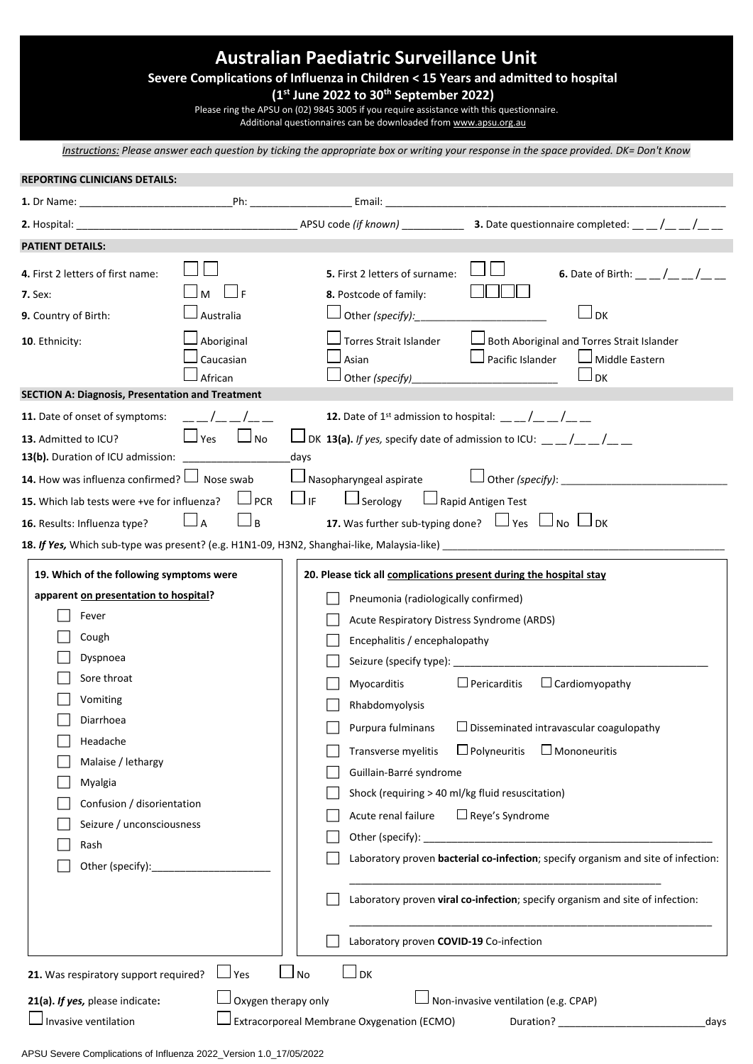## **Australian Paediatric Surveillance Unit**

## **Severe Complications of Influenza in Children < 15 Years and admitted to hospital**

**(1st June 2022 to 30th September 2022)**

Please ring the APSU on (02) 9845 3005 if you require assistance with this questionnaire.

Additional questionnaires can be downloaded from [www.apsu.org.au](http://www.apsu.org.au/)

*Instructions: Please answer each question by ticking the appropriate box or writing your response in the space provided. DK= Don't Know*

| PATIENT DETAILS:                                                                                                                                                                                                                                                                            |                                                                                          |                                                                                                                                                                                                                                                                                                                                                                                                           |                                                                                                                                                                                                                                                                                                                                                                |  |  |
|---------------------------------------------------------------------------------------------------------------------------------------------------------------------------------------------------------------------------------------------------------------------------------------------|------------------------------------------------------------------------------------------|-----------------------------------------------------------------------------------------------------------------------------------------------------------------------------------------------------------------------------------------------------------------------------------------------------------------------------------------------------------------------------------------------------------|----------------------------------------------------------------------------------------------------------------------------------------------------------------------------------------------------------------------------------------------------------------------------------------------------------------------------------------------------------------|--|--|
| 4. First 2 letters of first name:<br><b>7.</b> Sex:<br>9. Country of Birth:<br>10. Ethnicity:<br><b>SECTION A: Diagnosis, Presentation and Treatment</b><br>11. Date of onset of symptoms:<br>13. Admitted to ICU?                                                                          | $\sqcup$ F<br>Australia<br>Aboriginal<br>Caucasian<br>African<br>$\Box$ Yes<br>$\Box$ No | 5. First 2 letters of surname:<br>8. Postcode of family:<br>Other (specify):<br>Torres Strait Islander<br>Asian<br>Other (specify)_                                                                                                                                                                                                                                                                       | <b>6.</b> Date of Birth: $\_\_/\_\_/\_\_$<br>$\Box$ DK<br>Both Aboriginal and Torres Strait Islander<br>$\Box$ Pacific Islander<br>$\Box$ Middle Eastern<br>I DK<br>DK 13(a). If yes, specify date of admission to ICU: $\sqrt{2}$                                                                                                                             |  |  |
| <b>14.</b> How was influenza confirmed? $\Box$ Nose swab<br>15. Which lab tests were +ve for influenza?<br><b>16.</b> Results: Influenza type? $\Box$ A                                                                                                                                     | $\Box$ PCR<br>$\Box$ B                                                                   | days<br>$\Box$ if<br>$\Box$ Serology<br>18. If Yes, Which sub-type was present? (e.g. H1N1-09, H3N2, Shanghai-like, Malaysia-like) ____________________________                                                                                                                                                                                                                                           | $\Box$ Nasopharyngeal aspirate $\Box$ Other (specify): $\Box$<br>Rapid Antigen Test<br>17. Was further sub-typing done? $\Box$ Yes $\Box$ No $\Box$ DK                                                                                                                                                                                                         |  |  |
| 19. Which of the following symptoms were<br>apparent on presentation to hospital?<br>Fever<br>Cough<br>Dyspnoea<br>Sore throat<br>Vomiting<br>Diarrhoea<br>Headache<br>Malaise / lethargy<br>Myalgia<br>Confusion / disorientation<br>Seizure / unconsciousness<br>Rash<br>Other (specify): |                                                                                          | 20. Please tick all complications present during the hospital stay<br>Pneumonia (radiologically confirmed)<br>Acute Respiratory Distress Syndrome (ARDS)<br>Encephalitis / encephalopathy<br><b>Myocarditis</b><br>Rhabdomyolysis<br>Transverse myelitis<br>Guillain-Barré syndrome<br>Shock (requiring > 40 ml/kg fluid resuscitation)<br>Acute renal failure<br>Laboratory proven COVID-19 Co-infection | $\Box$ Pericarditis<br>$\Box$ Cardiomyopathy<br>Purpura fulminans $\Box$ Disseminated intravascular coagulopathy<br>$\Box$ Polyneuritis<br>$\Box$ Mononeuritis<br>$\Box$ Reye's Syndrome<br>Laboratory proven bacterial co-infection; specify organism and site of infection:<br>Laboratory proven viral co-infection; specify organism and site of infection: |  |  |
| 21. Was respiratory support required?<br>21(a). If yes, please indicate:                                                                                                                                                                                                                    | $\sqcup$ Yes<br>Oxygen therapy only                                                      | l No<br>」рк                                                                                                                                                                                                                                                                                                                                                                                               | Non-invasive ventilation (e.g. CPAP)                                                                                                                                                                                                                                                                                                                           |  |  |
| Invasive ventilation                                                                                                                                                                                                                                                                        |                                                                                          | Extracorporeal Membrane Oxygenation (ECMO)                                                                                                                                                                                                                                                                                                                                                                | Duration?<br>days                                                                                                                                                                                                                                                                                                                                              |  |  |